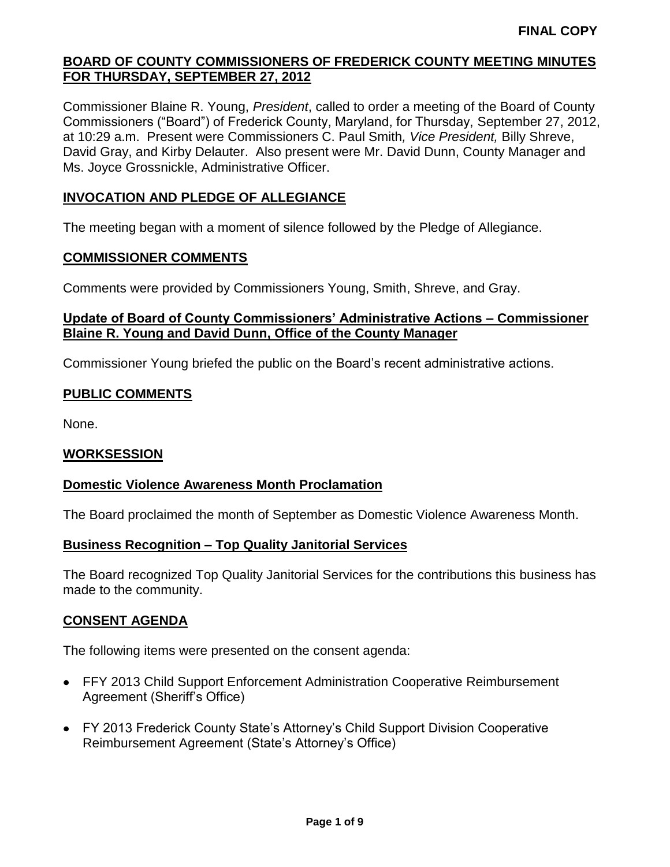Commissioner Blaine R. Young, *President*, called to order a meeting of the Board of County Commissioners ("Board") of Frederick County, Maryland, for Thursday, September 27, 2012, at 10:29 a.m. Present were Commissioners C. Paul Smith*, Vice President,* Billy Shreve, David Gray, and Kirby Delauter. Also present were Mr. David Dunn, County Manager and Ms. Joyce Grossnickle, Administrative Officer.

# **INVOCATION AND PLEDGE OF ALLEGIANCE**

The meeting began with a moment of silence followed by the Pledge of Allegiance.

### **COMMISSIONER COMMENTS**

Comments were provided by Commissioners Young, Smith, Shreve, and Gray.

# **Update of Board of County Commissioners' Administrative Actions – Commissioner Blaine R. Young and David Dunn, Office of the County Manager**

Commissioner Young briefed the public on the Board's recent administrative actions.

## **PUBLIC COMMENTS**

None.

### **WORKSESSION**

### **Domestic Violence Awareness Month Proclamation**

The Board proclaimed the month of September as Domestic Violence Awareness Month.

### **Business Recognition – Top Quality Janitorial Services**

The Board recognized Top Quality Janitorial Services for the contributions this business has made to the community.

# **CONSENT AGENDA**

The following items were presented on the consent agenda:

- FFY 2013 Child Support Enforcement Administration Cooperative Reimbursement Agreement (Sheriff's Office)
- FY 2013 Frederick County State's Attorney's Child Support Division Cooperative Reimbursement Agreement (State's Attorney's Office)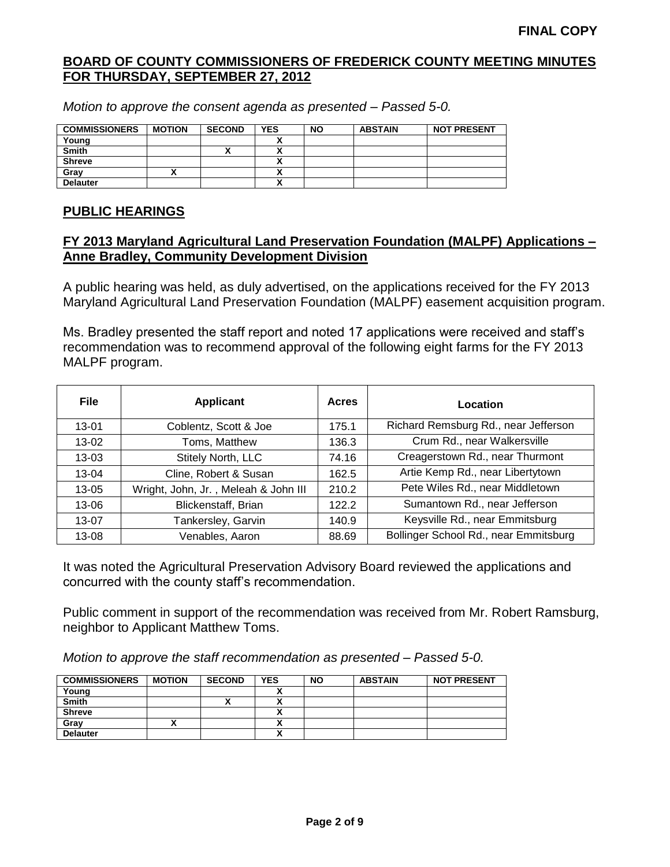*Motion to approve the consent agenda as presented – Passed 5-0.*

| <b>COMMISSIONERS</b> | <b>MOTION</b> | <b>SECOND</b> | <b>YES</b>   | <b>NO</b> | <b>ABSTAIN</b> | <b>NOT PRESENT</b> |
|----------------------|---------------|---------------|--------------|-----------|----------------|--------------------|
| Young                |               |               |              |           |                |                    |
| <b>Smith</b>         |               |               |              |           |                |                    |
| <b>Shreve</b>        |               |               |              |           |                |                    |
| Gray                 |               |               | Δ            |           |                |                    |
| <b>Delauter</b>      |               |               | $\mathbf{v}$ |           |                |                    |

### **PUBLIC HEARINGS**

### **FY 2013 Maryland Agricultural Land Preservation Foundation (MALPF) Applications – Anne Bradley, Community Development Division**

A public hearing was held, as duly advertised, on the applications received for the FY 2013 Maryland Agricultural Land Preservation Foundation (MALPF) easement acquisition program.

Ms. Bradley presented the staff report and noted 17 applications were received and staff's recommendation was to recommend approval of the following eight farms for the FY 2013 MALPF program.

| <b>File</b> | <b>Applicant</b>                     | <b>Acres</b> | Location                              |
|-------------|--------------------------------------|--------------|---------------------------------------|
| 13-01       | Coblentz, Scott & Joe                | 175.1        | Richard Remsburg Rd., near Jefferson  |
| $13 - 02$   | Toms, Matthew                        | 136.3        | Crum Rd., near Walkersville           |
| $13 - 03$   | Stitely North, LLC                   | 74.16        | Creagerstown Rd., near Thurmont       |
| 13-04       | Cline, Robert & Susan                | 162.5        | Artie Kemp Rd., near Libertytown      |
| 13-05       | Wright, John, Jr., Meleah & John III | 210.2        | Pete Wiles Rd., near Middletown       |
| 13-06       | Blickenstaff, Brian                  | 122.2        | Sumantown Rd., near Jefferson         |
| 13-07       | Tankersley, Garvin                   | 140.9        | Keysville Rd., near Emmitsburg        |
| 13-08       | Venables, Aaron                      | 88.69        | Bollinger School Rd., near Emmitsburg |

It was noted the Agricultural Preservation Advisory Board reviewed the applications and concurred with the county staff's recommendation.

Public comment in support of the recommendation was received from Mr. Robert Ramsburg, neighbor to Applicant Matthew Toms.

*Motion to approve the staff recommendation as presented – Passed 5-0.*

| <b>COMMISSIONERS</b> | <b>MOTION</b> | <b>SECOND</b> | <b>YES</b> | <b>NO</b> | <b>ABSTAIN</b> | <b>NOT PRESENT</b> |
|----------------------|---------------|---------------|------------|-----------|----------------|--------------------|
| Young                |               |               |            |           |                |                    |
| <b>Smith</b>         |               |               |            |           |                |                    |
| <b>Shreve</b>        |               |               |            |           |                |                    |
| Grav                 |               |               | Λ          |           |                |                    |
| <b>Delauter</b>      |               |               | Λ          |           |                |                    |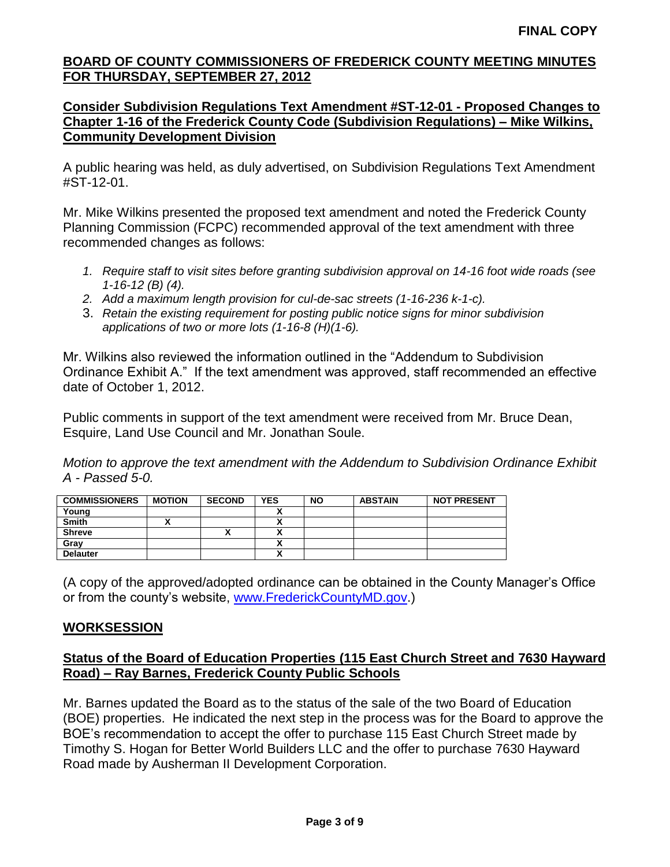## **Consider Subdivision Regulations Text Amendment #ST-12-01 - Proposed Changes to Chapter 1-16 of the Frederick County Code (Subdivision Regulations) – Mike Wilkins, Community Development Division**

A public hearing was held, as duly advertised, on Subdivision Regulations Text Amendment #ST-12-01.

Mr. Mike Wilkins presented the proposed text amendment and noted the Frederick County Planning Commission (FCPC) recommended approval of the text amendment with three recommended changes as follows:

- *1. Require staff to visit sites before granting subdivision approval on 14-16 foot wide roads (see 1-16-12 (B) (4).*
- *2. Add a maximum length provision for cul-de-sac streets (1-16-236 k-1-c).*
- 3. *Retain the existing requirement for posting public notice signs for minor subdivision applications of two or more lots (1-16-8 (H)(1-6).*

Mr. Wilkins also reviewed the information outlined in the "Addendum to Subdivision Ordinance Exhibit A." If the text amendment was approved, staff recommended an effective date of October 1, 2012.

Public comments in support of the text amendment were received from Mr. Bruce Dean, Esquire, Land Use Council and Mr. Jonathan Soule.

*Motion to approve the text amendment with the Addendum to Subdivision Ordinance Exhibit A - Passed 5-0.*

| <b>COMMISSIONERS</b> | <b>MOTION</b> | <b>SECOND</b> | <b>YES</b>               | <b>NO</b> | <b>ABSTAIN</b> | <b>NOT PRESENT</b> |
|----------------------|---------------|---------------|--------------------------|-----------|----------------|--------------------|
| Young                |               |               |                          |           |                |                    |
| <b>Smith</b>         |               |               |                          |           |                |                    |
| <b>Shreve</b>        |               | "             | ٠.<br>~                  |           |                |                    |
| Grav                 |               |               | Λ                        |           |                |                    |
| <b>Delauter</b>      |               |               | $\overline{\phantom{a}}$ |           |                |                    |

(A copy of the approved/adopted ordinance can be obtained in the County Manager's Office or from the county's website, [www.FrederickCountyMD.gov.](http://www.frederickcountymd.gov/))

# **WORKSESSION**

# **Status of the Board of Education Properties (115 East Church Street and 7630 Hayward Road) – Ray Barnes, Frederick County Public Schools**

Mr. Barnes updated the Board as to the status of the sale of the two Board of Education (BOE) properties. He indicated the next step in the process was for the Board to approve the BOE's recommendation to accept the offer to purchase 115 East Church Street made by Timothy S. Hogan for Better World Builders LLC and the offer to purchase 7630 Hayward Road made by Ausherman II Development Corporation.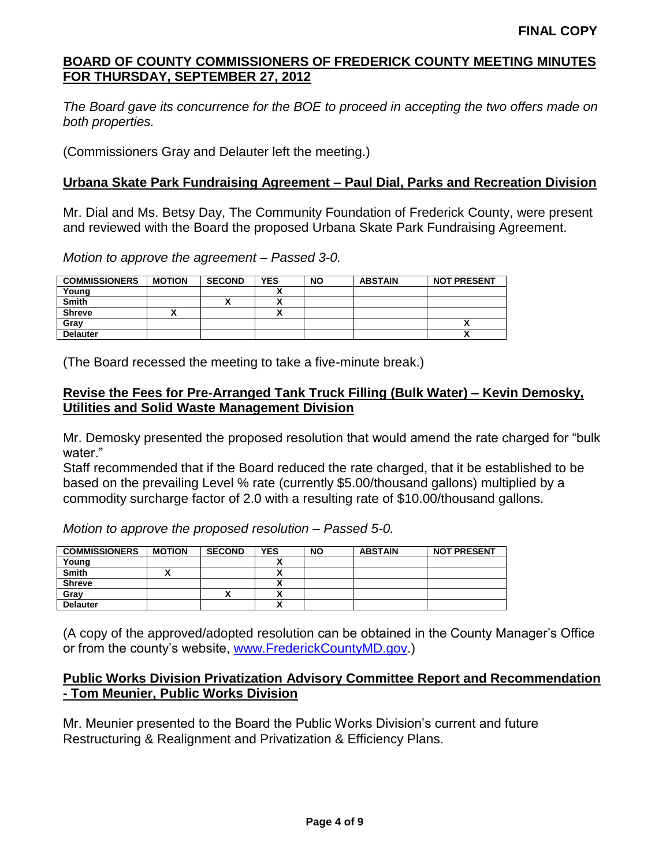*The Board gave its concurrence for the BOE to proceed in accepting the two offers made on both properties.*

(Commissioners Gray and Delauter left the meeting.)

# **Urbana Skate Park Fundraising Agreement – Paul Dial, Parks and Recreation Division**

Mr. Dial and Ms. Betsy Day, The Community Foundation of Frederick County, were present and reviewed with the Board the proposed Urbana Skate Park Fundraising Agreement.

*Motion to approve the agreement – Passed 3-0.*

| <b>COMMISSIONERS</b> | <b>MOTION</b> | <b>SECOND</b> | <b>YES</b> | <b>NO</b> | <b>ABSTAIN</b> | <b>NOT PRESENT</b> |
|----------------------|---------------|---------------|------------|-----------|----------------|--------------------|
| Young                |               |               |            |           |                |                    |
| <b>Smith</b>         |               |               |            |           |                |                    |
| <b>Shreve</b>        |               |               | n          |           |                |                    |
| Grav                 |               |               |            |           |                |                    |
| <b>Delauter</b>      |               |               |            |           |                | ^                  |

(The Board recessed the meeting to take a five-minute break.)

# **Revise the Fees for Pre-Arranged Tank Truck Filling (Bulk Water) – Kevin Demosky, Utilities and Solid Waste Management Division**

Mr. Demosky presented the proposed resolution that would amend the rate charged for "bulk water."

Staff recommended that if the Board reduced the rate charged, that it be established to be based on the prevailing Level % rate (currently \$5.00/thousand gallons) multiplied by a commodity surcharge factor of 2.0 with a resulting rate of \$10.00/thousand gallons.

*Motion to approve the proposed resolution – Passed 5-0.*

| <b>COMMISSIONERS</b> | <b>MOTION</b> | <b>SECOND</b> | <b>YES</b>                | <b>NO</b> | <b>ABSTAIN</b> | <b>NOT PRESENT</b> |
|----------------------|---------------|---------------|---------------------------|-----------|----------------|--------------------|
| Young                |               |               |                           |           |                |                    |
| <b>Smith</b>         | ~             |               | ^                         |           |                |                    |
| <b>Shreve</b>        |               |               |                           |           |                |                    |
| Gray                 |               |               |                           |           |                |                    |
| <b>Delauter</b>      |               |               | $\ddot{\phantom{1}}$<br>Δ |           |                |                    |

(A copy of the approved/adopted resolution can be obtained in the County Manager's Office or from the county's website, [www.FrederickCountyMD.gov.](http://www.frederickcountymd.gov/))

## **Public Works Division Privatization Advisory Committee Report and Recommendation - Tom Meunier, Public Works Division**

Mr. Meunier presented to the Board the Public Works Division's current and future Restructuring & Realignment and Privatization & Efficiency Plans.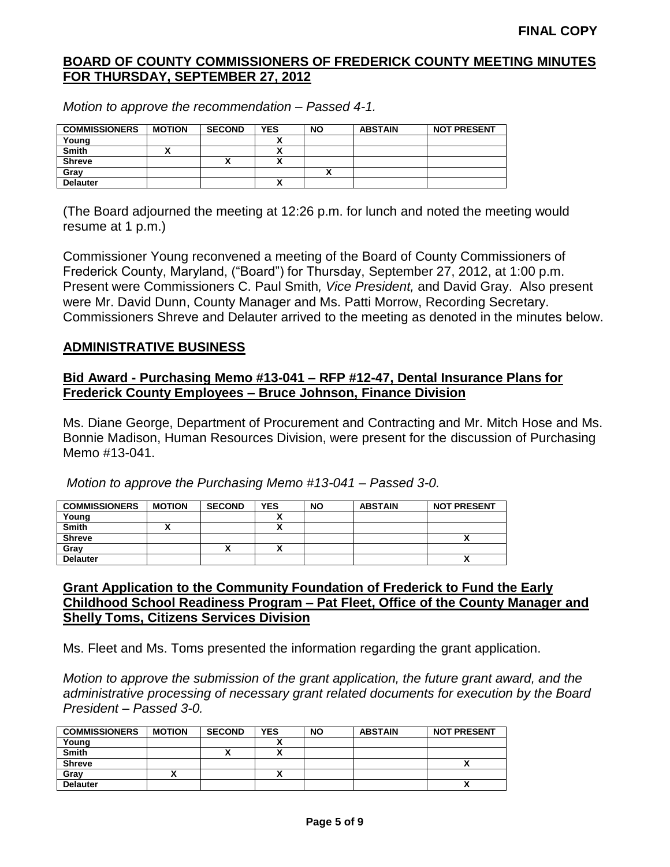| <b>COMMISSIONERS</b> | <b>MOTION</b> | <b>SECOND</b> | <b>YES</b> | <b>NO</b> | <b>ABSTAIN</b> | <b>NOT PRESENT</b> |
|----------------------|---------------|---------------|------------|-----------|----------------|--------------------|
| Young                |               |               |            |           |                |                    |
| <b>Smith</b>         | ^             |               |            |           |                |                    |
| <b>Shreve</b>        |               | ↗             |            |           |                |                    |
| Gray                 |               |               |            |           |                |                    |
| <b>Delauter</b>      |               |               |            |           |                |                    |

*Motion to approve the recommendation – Passed 4-1.*

(The Board adjourned the meeting at 12:26 p.m. for lunch and noted the meeting would resume at 1 p.m.)

Commissioner Young reconvened a meeting of the Board of County Commissioners of Frederick County, Maryland, ("Board") for Thursday, September 27, 2012, at 1:00 p.m. Present were Commissioners C. Paul Smith*, Vice President,* and David Gray. Also present were Mr. David Dunn, County Manager and Ms. Patti Morrow, Recording Secretary. Commissioners Shreve and Delauter arrived to the meeting as denoted in the minutes below.

## **ADMINISTRATIVE BUSINESS**

# **Bid Award - Purchasing Memo #13-041 – RFP #12-47, Dental Insurance Plans for Frederick County Employees – Bruce Johnson, Finance Division**

Ms. Diane George, Department of Procurement and Contracting and Mr. Mitch Hose and Ms. Bonnie Madison, Human Resources Division, were present for the discussion of Purchasing Memo #13-041.

*Motion to approve the Purchasing Memo #13-041 – Passed 3-0.*

| <b>COMMISSIONERS</b> | <b>MOTION</b> | <b>SECOND</b> | <b>YES</b>               | <b>NO</b> | <b>ABSTAIN</b> | <b>NOT PRESENT</b> |
|----------------------|---------------|---------------|--------------------------|-----------|----------------|--------------------|
| Young                |               |               |                          |           |                |                    |
| <b>Smith</b>         | ^             |               |                          |           |                |                    |
| <b>Shreve</b>        |               |               |                          |           |                |                    |
| Gray                 |               | ,,            | $\overline{\phantom{a}}$ |           |                |                    |
| <b>Delauter</b>      |               |               |                          |           |                | Λ                  |

### **Grant Application to the Community Foundation of Frederick to Fund the Early Childhood School Readiness Program – Pat Fleet, Office of the County Manager and Shelly Toms, Citizens Services Division**

Ms. Fleet and Ms. Toms presented the information regarding the grant application.

*Motion to approve the submission of the grant application, the future grant award, and the administrative processing of necessary grant related documents for execution by the Board President – Passed 3-0.*

| <b>COMMISSIONERS</b> | <b>MOTION</b> | <b>SECOND</b> | <b>YES</b> | <b>NO</b> | <b>ABSTAIN</b> | <b>NOT PRESENT</b> |
|----------------------|---------------|---------------|------------|-----------|----------------|--------------------|
| Young                |               |               |            |           |                |                    |
| <b>Smith</b>         |               |               |            |           |                |                    |
| <b>Shreve</b>        |               |               |            |           |                | $\mathbf{v}$       |
| Gray                 |               |               |            |           |                |                    |
| <b>Delauter</b>      |               |               |            |           |                | $\mathbf{v}$       |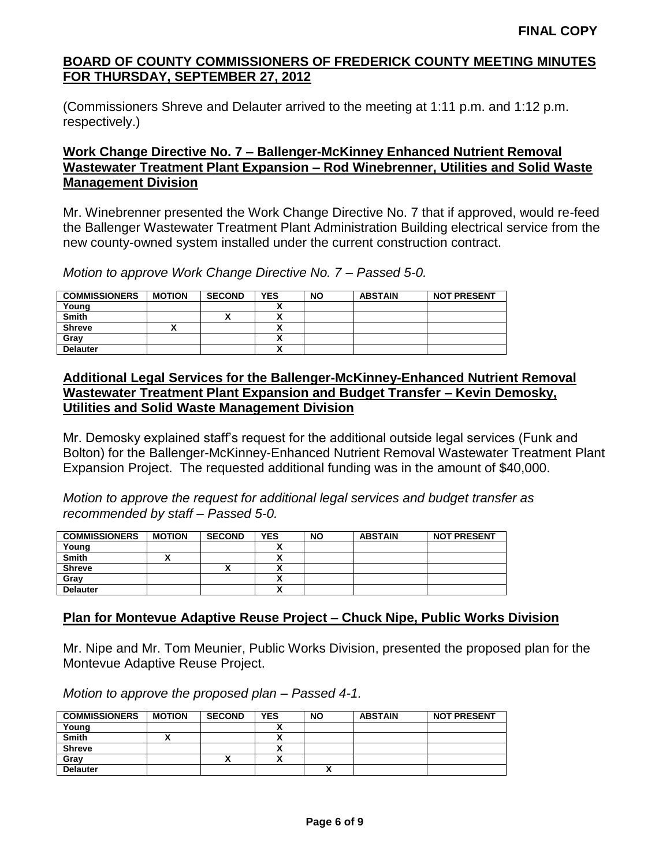(Commissioners Shreve and Delauter arrived to the meeting at 1:11 p.m. and 1:12 p.m. respectively.)

# **Work Change Directive No. 7 – Ballenger-McKinney Enhanced Nutrient Removal Wastewater Treatment Plant Expansion – Rod Winebrenner, Utilities and Solid Waste Management Division**

Mr. Winebrenner presented the Work Change Directive No. 7 that if approved, would re-feed the Ballenger Wastewater Treatment Plant Administration Building electrical service from the new county-owned system installed under the current construction contract.

*Motion to approve Work Change Directive No. 7 – Passed 5-0.*

| <b>COMMISSIONERS</b> | <b>MOTION</b> | <b>SECOND</b> | <b>YES</b> | <b>NO</b> | <b>ABSTAIN</b> | <b>NOT PRESENT</b> |
|----------------------|---------------|---------------|------------|-----------|----------------|--------------------|
| Young                |               |               |            |           |                |                    |
| <b>Smith</b>         |               |               |            |           |                |                    |
| <b>Shreve</b>        |               |               |            |           |                |                    |
| Grav                 |               |               | ,,         |           |                |                    |
| <b>Delauter</b>      |               |               | ٠.<br>Λ    |           |                |                    |

# **Additional Legal Services for the Ballenger-McKinney-Enhanced Nutrient Removal Wastewater Treatment Plant Expansion and Budget Transfer – Kevin Demosky, Utilities and Solid Waste Management Division**

Mr. Demosky explained staff's request for the additional outside legal services (Funk and Bolton) for the Ballenger-McKinney-Enhanced Nutrient Removal Wastewater Treatment Plant Expansion Project. The requested additional funding was in the amount of \$40,000.

*Motion to approve the request for additional legal services and budget transfer as recommended by staff – Passed 5-0.*

| <b>COMMISSIONERS</b> | <b>MOTION</b> | <b>SECOND</b> | <b>YES</b> | <b>NO</b> | <b>ABSTAIN</b> | <b>NOT PRESENT</b> |
|----------------------|---------------|---------------|------------|-----------|----------------|--------------------|
| Young                |               |               |            |           |                |                    |
| <b>Smith</b>         |               |               |            |           |                |                    |
| <b>Shreve</b>        |               |               |            |           |                |                    |
| Gray                 |               |               | ~          |           |                |                    |
| <b>Delauter</b>      |               |               |            |           |                |                    |

# **Plan for Montevue Adaptive Reuse Project – Chuck Nipe, Public Works Division**

Mr. Nipe and Mr. Tom Meunier, Public Works Division, presented the proposed plan for the Montevue Adaptive Reuse Project.

*Motion to approve the proposed plan – Passed 4-1.*

| <b>COMMISSIONERS</b> | <b>MOTION</b> | <b>SECOND</b> | <b>YES</b> | <b>NO</b> | <b>ABSTAIN</b> | <b>NOT PRESENT</b> |
|----------------------|---------------|---------------|------------|-----------|----------------|--------------------|
| Young                |               |               |            |           |                |                    |
| <b>Smith</b>         | ~             |               |            |           |                |                    |
| <b>Shreve</b>        |               |               |            |           |                |                    |
| Gray                 |               | ,,            |            |           |                |                    |
| <b>Delauter</b>      |               |               |            |           |                |                    |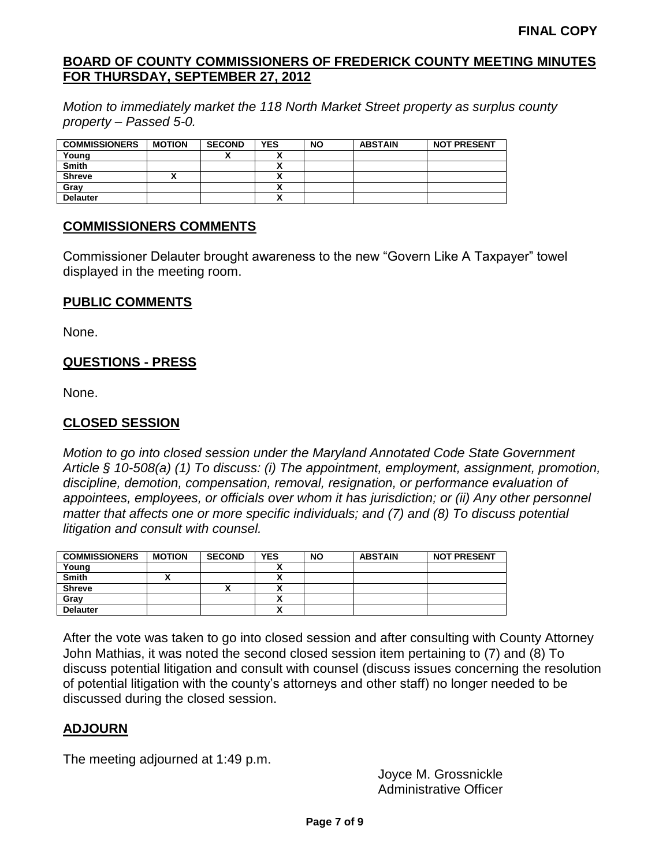*Motion to immediately market the 118 North Market Street property as surplus county property – Passed 5-0.*

| <b>COMMISSIONERS</b> | <b>MOTION</b> | <b>SECOND</b> | <b>YES</b> | <b>NO</b> | <b>ABSTAIN</b> | <b>NOT PRESENT</b> |
|----------------------|---------------|---------------|------------|-----------|----------------|--------------------|
| Young                |               | ,,            |            |           |                |                    |
| <b>Smith</b>         |               |               |            |           |                |                    |
| <b>Shreve</b>        |               |               |            |           |                |                    |
| Gray                 |               |               |            |           |                |                    |
| <b>Delauter</b>      |               |               |            |           |                |                    |

## **COMMISSIONERS COMMENTS**

Commissioner Delauter brought awareness to the new "Govern Like A Taxpayer" towel displayed in the meeting room.

### **PUBLIC COMMENTS**

None.

# **QUESTIONS - PRESS**

None.

# **CLOSED SESSION**

*Motion to go into closed session under the Maryland Annotated Code State Government Article § 10-508(a) (1) To discuss: (i) The appointment, employment, assignment, promotion, discipline, demotion, compensation, removal, resignation, or performance evaluation of appointees, employees, or officials over whom it has jurisdiction; or (ii) Any other personnel matter that affects one or more specific individuals; and (7) and (8) To discuss potential litigation and consult with counsel.*

| <b>COMMISSIONERS</b> | <b>MOTION</b> | <b>SECOND</b> | <b>YES</b> | <b>NO</b> | <b>ABSTAIN</b> | <b>NOT PRESENT</b> |
|----------------------|---------------|---------------|------------|-----------|----------------|--------------------|
| Young                |               |               |            |           |                |                    |
| <b>Smith</b>         | ~             |               |            |           |                |                    |
| <b>Shreve</b>        |               | $\mathbf{r}$  |            |           |                |                    |
| Gray                 |               |               |            |           |                |                    |
| <b>Delauter</b>      |               |               |            |           |                |                    |

After the vote was taken to go into closed session and after consulting with County Attorney John Mathias, it was noted the second closed session item pertaining to (7) and (8) To discuss potential litigation and consult with counsel (discuss issues concerning the resolution of potential litigation with the county's attorneys and other staff) no longer needed to be discussed during the closed session.

# **ADJOURN**

The meeting adjourned at 1:49 p.m.

Joyce M. Grossnickle Administrative Officer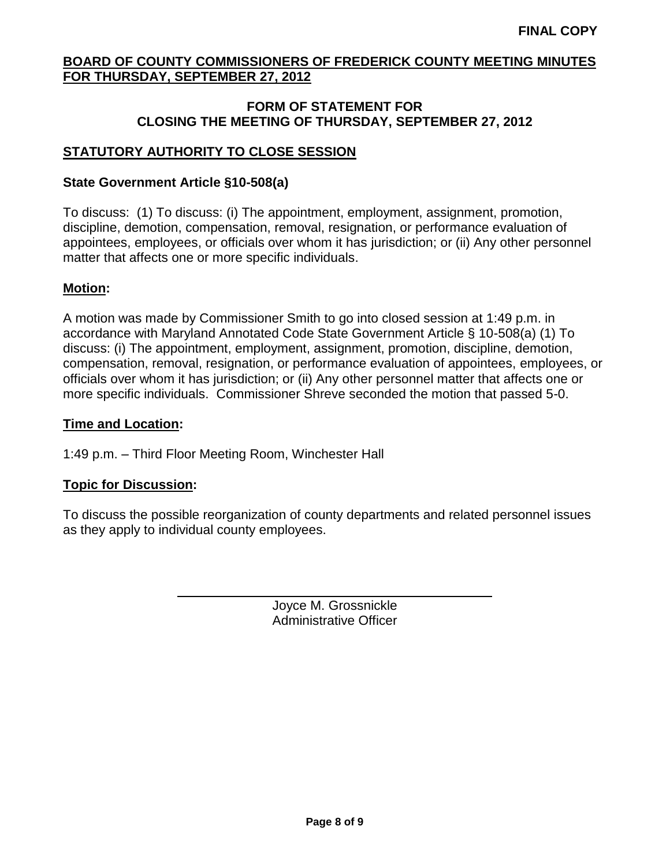# **FORM OF STATEMENT FOR CLOSING THE MEETING OF THURSDAY, SEPTEMBER 27, 2012**

# **STATUTORY AUTHORITY TO CLOSE SESSION**

# **State Government Article §10-508(a)**

To discuss: (1) To discuss: (i) The appointment, employment, assignment, promotion, discipline, demotion, compensation, removal, resignation, or performance evaluation of appointees, employees, or officials over whom it has jurisdiction; or (ii) Any other personnel matter that affects one or more specific individuals.

## **Motion:**

A motion was made by Commissioner Smith to go into closed session at 1:49 p.m. in accordance with Maryland Annotated Code State Government Article § 10-508(a) (1) To discuss: (i) The appointment, employment, assignment, promotion, discipline, demotion, compensation, removal, resignation, or performance evaluation of appointees, employees, or officials over whom it has jurisdiction; or (ii) Any other personnel matter that affects one or more specific individuals. Commissioner Shreve seconded the motion that passed 5-0.

## **Time and Location:**

1:49 p.m. – Third Floor Meeting Room, Winchester Hall

# **Topic for Discussion:**

To discuss the possible reorganization of county departments and related personnel issues as they apply to individual county employees.

> Joyce M. Grossnickle Administrative Officer